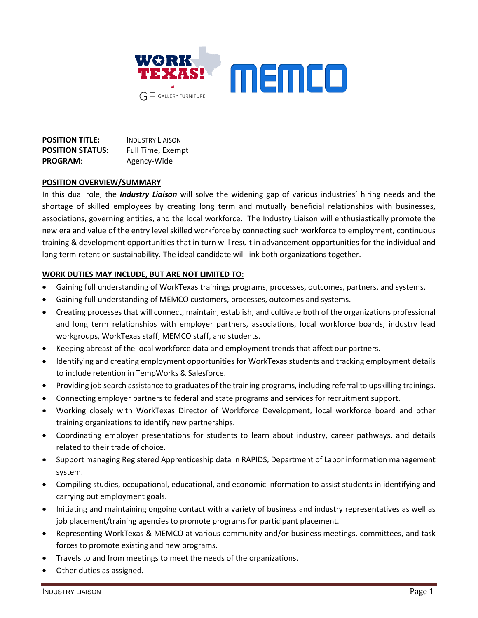

| <b>POSITION TITLE:</b>  | <b>INDUSTRY LIAISON</b> |
|-------------------------|-------------------------|
| <b>POSITION STATUS:</b> | Full Time, Exempt       |
| <b>PROGRAM:</b>         | Agency-Wide             |

#### **POSITION OVERVIEW/SUMMARY**

In this dual role, the *Industry Liaison* will solve the widening gap of various industries' hiring needs and the shortage of skilled employees by creating long term and mutually beneficial relationships with businesses, associations, governing entities, and the local workforce. The Industry Liaison will enthusiastically promote the new era and value of the entry level skilled workforce by connecting such workforce to employment, continuous training & development opportunities that in turn will result in advancement opportunities for the individual and long term retention sustainability. The ideal candidate will link both organizations together.

# **WORK DUTIES MAY INCLUDE, BUT ARE NOT LIMITED TO**:

- Gaining full understanding of WorkTexas trainings programs, processes, outcomes, partners, and systems.
- Gaining full understanding of MEMCO customers, processes, outcomes and systems.
- Creating processes that will connect, maintain, establish, and cultivate both of the organizations professional and long term relationships with employer partners, associations, local workforce boards, industry lead workgroups, WorkTexas staff, MEMCO staff, and students.
- Keeping abreast of the local workforce data and employment trends that affect our partners.
- Identifying and creating employment opportunities for WorkTexas students and tracking employment details to include retention in TempWorks & Salesforce.
- Providing job search assistance to graduates of the training programs, including referral to upskilling trainings.
- Connecting employer partners to federal and state programs and services for recruitment support.
- Working closely with WorkTexas Director of Workforce Development, local workforce board and other training organizations to identify new partnerships.
- Coordinating employer presentations for students to learn about industry, career pathways, and details related to their trade of choice.
- Support managing Registered Apprenticeship data in RAPIDS, Department of Labor information management system.
- Compiling studies, occupational, educational, and economic information to assist students in identifying and carrying out employment goals.
- Initiating and maintaining ongoing contact with a variety of business and industry representatives as well as job placement/training agencies to promote programs for participant placement.
- Representing WorkTexas & MEMCO at various community and/or business meetings, committees, and task forces to promote existing and new programs.
- Travels to and from meetings to meet the needs of the organizations.
- Other duties as assigned.